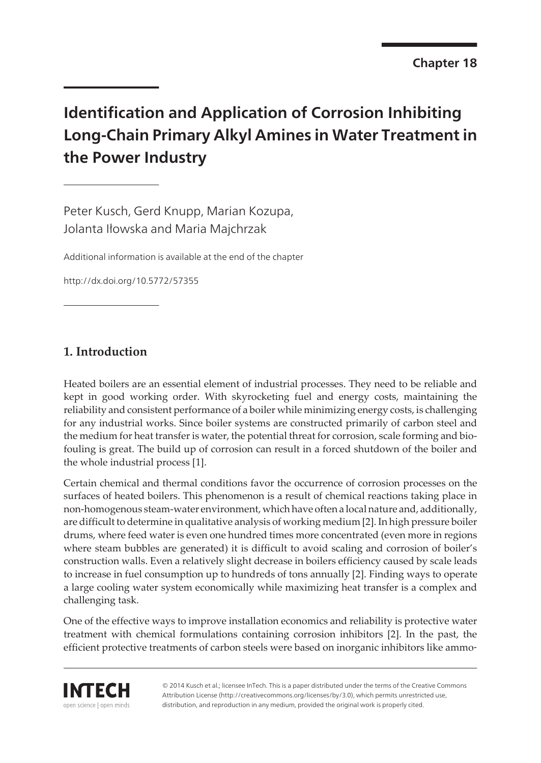# **Identification and Application of Corrosion Inhibiting Long-Chain Primary Alkyl Amines in Water Treatment in the Power Industry**

Peter Kusch, Gerd Knupp, Marian Kozupa, Jolanta Iłowska and Maria Majchrzak

Additional information is available at the end of the chapter

http://dx.doi.org/10.5772/57355

# **1. Introduction**

Heated boilers are an essential element of industrial processes. They need to be reliable and kept in good working order. With skyrocketing fuel and energy costs, maintaining the reliability and consistent performance of a boiler while minimizing energy costs, is challenging for any industrial works. Since boiler systems are constructed primarily of carbon steel and the medium for heat transfer is water, the potential threat for corrosion, scale forming and biofouling is great. The build up of corrosion can result in a forced shutdown of the boiler and the whole industrial process [\[1\]](#page-14-0).

Certain chemical and thermal conditions favor the occurrence of corrosion processes on the surfaces of heated boilers. This phenomenon is a result of chemical reactions taking place in non-homogenous steam-water environment, which have often a local nature and, additionally, are difficult to determine in qualitative analysis of working medium [[2](#page-14-0)]. In high pressure boiler drums, where feed water is even one hundred times more concentrated (even more in regions where steam bubbles are generated) it is difficult to avoid scaling and corrosion of boiler's construction walls. Even a relatively slight decrease in boilers efficiency caused by scale leads to increase in fuel consumption up to hundreds of tons annually [[2](#page-14-0)]. Finding ways to operate a large cooling water system economically while maximizing heat transfer is a complex and challenging task.

One of the effective ways to improve installation economics and reliability is protective water treatment with chemical formulations containing corrosion inhibitors [\[2\]](#page-14-0). In the past, the efficient protective treatments of carbon steels were based on inorganic inhibitors like ammo-



© 2014 Kusch et al.; licensee InTech. This is a paper distributed under the terms of the Creative Commons Attribution License (http://creativecommons.org/licenses/by/3.0), which permits unrestricted use, distribution, and reproduction in any medium, provided the original work is properly cited.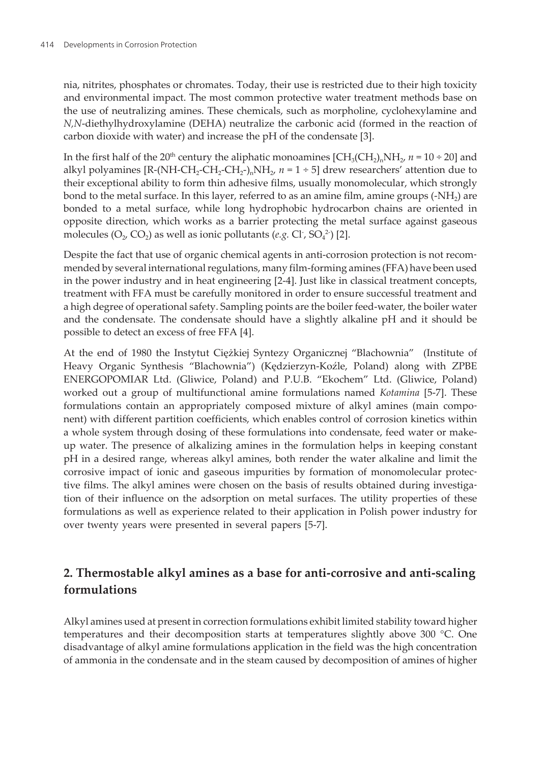nia, nitrites, phosphates or chromates. Today, their use is restricted due to their high toxicity and environmental impact. The most common protective water treatment methods base on the use of neutralizing amines. These chemicals, such as morpholine, cyclohexylamine and *N,N*-diethylhydroxylamine (DEHA) neutralize the carbonic acid (formed in the reaction of carbon dioxide with water) and increase the pH of the condensate [[3](#page-15-0)].

In the first half of the 20<sup>th</sup> century the aliphatic monoamines  $\text{[CH}_{3}\text{(CH}_{2}\text{),NH}_{2}$ ,  $n$  = 10 ÷ 20] and alkyl polyamines [R-(NH-CH<sub>2</sub>-CH<sub>2</sub>-CH<sub>2</sub>-)<sub>n</sub>NH<sub>2</sub>,  $n = 1 \div 5$ ] drew researchers' attention due to their exceptional ability to form thin adhesive films, usually monomolecular, which strongly bond to the metal surface. In this layer, referred to as an amine film, amine groups (-NH<sub>2</sub>) are bonded to a metal surface, while long hydrophobic hydrocarbon chains are oriented in opposite direction, which works as a barrier protecting the metal surface against gaseous molecules  $(O_2, CO_2)$  $(O_2, CO_2)$  $(O_2, CO_2)$  as well as ionic pollutants  $(e.g. Cl, SO<sub>4</sub><sup>2</sup>)$  [2].

Despite the fact that use of organic chemical agents in anti-corrosion protection is not recommended by several international regulations, many film-forming amines (FFA) have been used in the power industry and in heat engineering [\[2-](#page-14-0)[4](#page-15-0)]. Just like in classical treatment concepts, treatment with FFA must be carefully monitored in order to ensure successful treatment and a high degree of operational safety. Sampling points are the boiler feed-water, the boiler water and the condensate. The condensate should have a slightly alkaline pH and it should be possible to detect an excess of free FFA [[4](#page-15-0)].

At the end of 1980 the Instytut Ciężkiej Syntezy Organicznej "Blachownia" (Institute of Heavy Organic Synthesis "Blachownia") (Kędzierzyn-Koźle, Poland) along with ZPBE ENERGOPOMIAR Ltd. (Gliwice, Poland) and P.U.B. "Ekochem" Ltd. (Gliwice, Poland) worked out a group of multifunctional amine formulations named *Kotamina* [[5-7\]](#page-15-0). These formulations contain an appropriately composed mixture of alkyl amines (main component) with different partition coefficients, which enables control of corrosion kinetics within a whole system through dosing of these formulations into condensate, feed water or makeup water. The presence of alkalizing amines in the formulation helps in keeping constant pH in a desired range, whereas alkyl amines, both render the water alkaline and limit the corrosive impact of ionic and gaseous impurities by formation of monomolecular protec‐ tive films. The alkyl amines were chosen on the basis of results obtained during investigation of their influence on the adsorption on metal surfaces. The utility properties of these formulations as well as experience related to their application in Polish power industry for over twenty years were presented in several papers [[5-7\]](#page-15-0).

# **2. Thermostable alkyl amines as a base for anti-corrosive and anti-scaling formulations**

Alkyl amines used at present in correction formulations exhibit limited stability toward higher temperatures and their decomposition starts at temperatures slightly above 300 °C. One disadvantage of alkyl amine formulations application in the field was the high concentration of ammonia in the condensate and in the steam caused by decomposition of amines of higher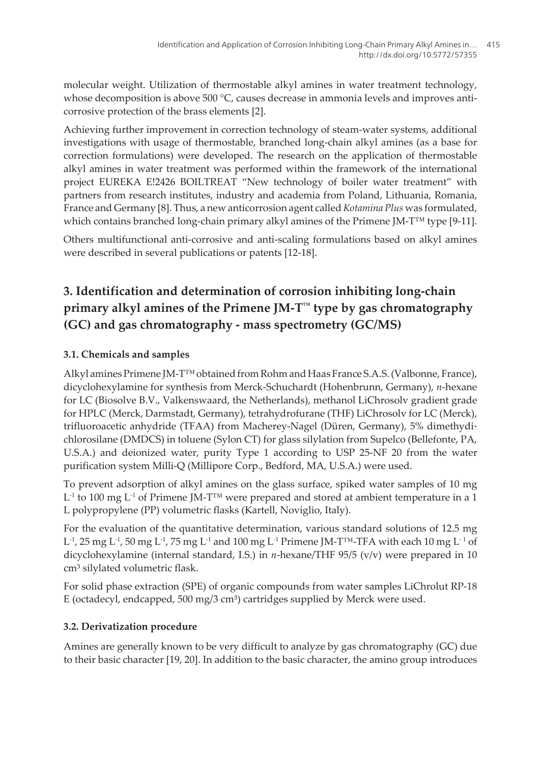molecular weight. Utilization of thermostable alkyl amines in water treatment technology, whose decomposition is above 500  $^{\circ}$ C, causes decrease in ammonia levels and improves anticorrosive protection of the brass elements [\[2\]](#page-14-0).

Achieving further improvement in correction technology of steam-water systems, additional investigations with usage of thermostable, branched long-chain alkyl amines (as a base for correction formulations) were developed. The research on the application of thermostable alkyl amines in water treatment was performed within the framework of the international project EUREKA E!2426 BOILTREAT "New technology of boiler water treatment" with partners from research institutes, industry and academia from Poland, Lithuania, Romania, France and Germany [\[8\]](#page-15-0). Thus, a new anticorrosion agent called *Kotamina Plus* was formulated, which contains branched long-chain primary alkyl amines of the Primene JM-T™ type [\[9-11\]](#page-15-0).

Others multifunctional anti-corrosive and anti-scaling formulations based on alkyl amines were described in several publications or patents [\[12](#page-15-0)[-18](#page-16-0)].

# **3. Identification and determination of corrosion inhibiting long-chain primary alkyl amines of the Primene JM-T™ type by gas chromatography (GC) and gas chromatography - mass spectrometry (GC/MS)**

### **3.1. Chemicals and samples**

Alkyl amines Primene JM-T™ obtained from Rohm and Haas France S.A.S. (Valbonne, France), dicyclohexylamine for synthesis from Merck-Schuchardt (Hohenbrunn, Germany), *n*-hexane for LC (Biosolve B.V., Valkenswaard, the Netherlands), methanol LiChrosolv gradient grade for HPLC (Merck, Darmstadt, Germany), tetrahydrofurane (THF) LiChrosolv for LC (Merck), trifluoroacetic anhydride (TFAA) from Macherey-Nagel (Düren, Germany), 5% dimethydi‐ chlorosilane (DMDCS) in toluene (Sylon CT) for glass silylation from Supelco (Bellefonte, PA, U.S.A.) and deionized water, purity Type 1 according to USP 25-NF 20 from the water purification system Milli-Q (Millipore Corp., Bedford, MA, U.S.A.) were used.

To prevent adsorption of alkyl amines on the glass surface, spiked water samples of 10 mg  $\mathbf{L}^{\text{-1}}$  to 100 mg  $\mathbf{L}^{\text{-1}}$  of Primene JM-T<sup> $\text{\tiny{TM}}$ </sup> were prepared and stored at ambient temperature in a 1 L polypropylene (PP) volumetric flasks (Kartell, Noviglio, Italy).

For the evaluation of the quantitative determination, various standard solutions of 12.5 mg L<sup>-1</sup>, 25 mg L<sup>-1</sup>, 50 mg L<sup>-1</sup>, 75 mg L<sup>-1</sup> and 100 mg L<sup>-1</sup> Primene JM-T™-TFA with each 10 mg L<sup>-1</sup> of dicyclohexylamine (internal standard, I.S.) in *n*-hexane/THF 95/5 (v/v) were prepared in 10 cm<sup>3</sup> silylated volumetric flask.

For solid phase extraction (SPE) of organic compounds from water samples LiChrolut RP-18 E (octadecyl, endcapped,  $500 \text{ mg}/3 \text{ cm}^3$ ) cartridges supplied by Merck were used.

### **3.2. Derivatization procedure**

Amines are generally known to be very difficult to analyze by gas chromatography (GC) due to their basic character [\[19](#page-16-0), [20](#page-16-0)]. In addition to the basic character, the amino group introduces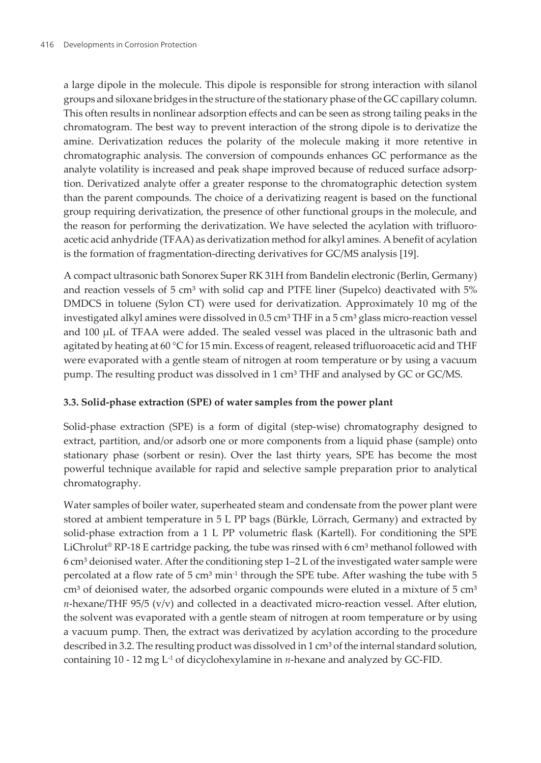a large dipole in the molecule. This dipole is responsible for strong interaction with silanol groups and siloxane bridges in the structure of the stationary phase of the GC capillary column. This often results in nonlinear adsorption effects and can be seen as strong tailing peaks in the chromatogram. The best way to prevent interaction of the strong dipole is to derivatize the amine. Derivatization reduces the polarity of the molecule making it more retentive in chromatographic analysis. The conversion of compounds enhances GC performance as the analyte volatility is increased and peak shape improved because of reduced surface adsorp‐ tion. Derivatized analyte offer a greater response to the chromatographic detection system than the parent compounds. The choice of a derivatizing reagent is based on the functional group requiring derivatization, the presence of other functional groups in the molecule, and the reason for performing the derivatization. We have selected the acylation with trifluoroacetic acid anhydride (TFAA) as derivatization method for alkyl amines. A benefit of acylation is the formation of fragmentation-directing derivatives for GC/MS analysis [\[19](#page-16-0)].

A compact ultrasonic bath Sonorex Super RK 31H from Bandelin electronic (Berlin, Germany) and reaction vessels of 5  $cm<sup>3</sup>$  with solid cap and PTFE liner (Supelco) deactivated with 5% DMDCS in toluene (Sylon CT) were used for derivatization. Approximately 10 mg of the investigated alkyl amines were dissolved in  $0.5 \text{ cm}^3$  THF in a  $5 \text{ cm}^3$  glass micro-reaction vessel and 100 µL of TFAA were added. The sealed vessel was placed in the ultrasonic bath and agitated by heating at 60 °C for 15 min. Excess of reagent, released trifluoroacetic acid and THF were evaporated with a gentle steam of nitrogen at room temperature or by using a vacuum pump. The resulting product was dissolved in 1 cm<sup>3</sup> THF and analysed by GC or GC/MS.

### **3.3. Solid-phase extraction (SPE) of water samples from the power plant**

Solid-phase extraction (SPE) is a form of digital (step-wise) chromatography designed to extract, partition, and/or adsorb one or more components from a liquid phase (sample) onto stationary phase (sorbent or resin). Over the last thirty years, SPE has become the most powerful technique available for rapid and selective sample preparation prior to analytical chromatography.

Water samples of boiler water, superheated steam and condensate from the power plant were stored at ambient temperature in 5 L PP bags (Bürkle, Lörrach, Germany) and extracted by solid-phase extraction from a 1 L PP volumetric flask (Kartell). For conditioning the SPE LiChrolut<sup>®</sup> RP-18 E cartridge packing, the tube was rinsed with 6 cm<sup>3</sup> methanol followed with  $6 \text{ cm}^3$  deionised water. After the conditioning step  $1-2 \text{ L}$  of the investigated water sample were percolated at a flow rate of  $5 \text{ cm}^3 \text{ min}^{-1}$  through the SPE tube. After washing the tube with  $5 \text{ cm}^3$  $\text{cm}^3$  of deionised water, the adsorbed organic compounds were eluted in a mixture of 5  $\text{cm}^3$  $n$ -hexane/THF 95/5 (v/v) and collected in a deactivated micro-reaction vessel. After elution, the solvent was evaporated with a gentle steam of nitrogen at room temperature or by using a vacuum pump. Then, the extract was derivatized by acylation according to the procedure described in 3.2. The resulting product was dissolved in 1 cm<sup>3</sup> of the internal standard solution, containing 10 - 12 mg  $L^1$  of dicyclohexylamine in *n*-hexane and analyzed by GC-FID.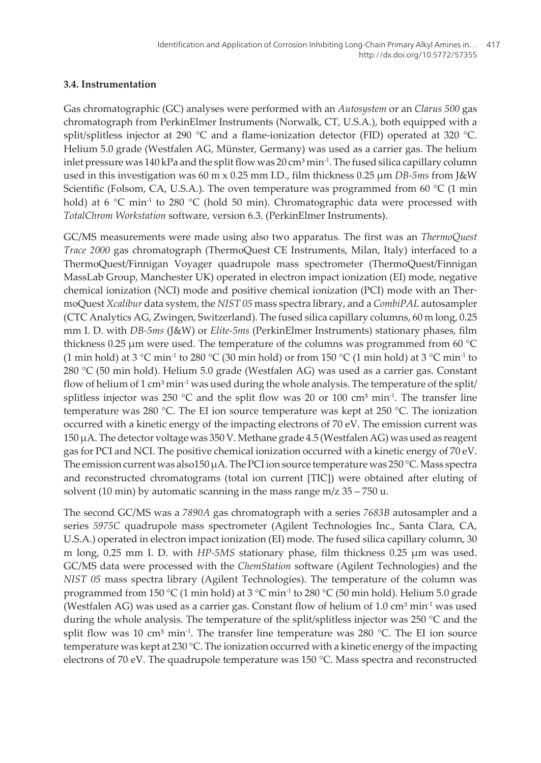### **3.4. Instrumentation**

Gas chromatographic (GC) analyses were performed with an *Autosystem* or an *Clarus 500* gas chromatograph from PerkinElmer Instruments (Norwalk, CT, U.S.A.), both equipped with a split/splitless injector at 290 °C and a flame-ionization detector (FID) operated at 320 °C. Helium 5.0 grade (Westfalen AG, Münster, Germany) was used as a carrier gas. The helium inlet pressure was  $140$  kPa and the split flow was  $20 \text{ cm}^3 \text{ min}^{-1}$ . The fused silica capillary column used in this investigation was 60 m x 0.25 mm I.D., film thickness 0.25 µm *DB-5ms* from J&W Scientific (Folsom, CA, U.S.A.). The oven temperature was programmed from 60  $^{\circ}$ C (1 min hold) at 6  $\degree$ C min<sup>-1</sup> to 280  $\degree$ C (hold 50 min). Chromatographic data were processed with *TotalChrom Workstation* software, version 6.3. (PerkinElmer Instruments).

GC/MS measurements were made using also two apparatus. The first was an *ThermoQuest Trace 2000* gas chromatograph (ThermoQuest CE Instruments, Milan, Italy) interfaced to a ThermoQuest/Finnigan Voyager quadrupole mass spectrometer (ThermoQuest/Finnigan MassLab Group, Manchester UK) operated in electron impact ionization (EI) mode, negative chemical ionization (NCI) mode and positive chemical ionization (PCI) mode with an Ther‐ moQuest *Xcalibur* data system, the *NIST 05* mass spectra library, and a *CombiPAL* autosampler (CTC Analytics AG, Zwingen, Switzerland). The fused silica capillary columns, 60 m long, 0.25 mm I. D. with *DB-5ms* (J&W) or *Elite-5ms* (PerkinElmer Instruments) stationary phases, film thickness 0.25  $\mu$ m were used. The temperature of the columns was programmed from 60 °C (1 min hold) at 3 °C min<sup>-1</sup> to 280 °C (30 min hold) or from 150 °C (1 min hold) at 3 °C min<sup>-1</sup> to 280 °C (50 min hold). Helium 5.0 grade (Westfalen AG) was used as a carrier gas. Constant flow of helium of 1 cm<sup>3</sup> min<sup>-1</sup> was used during the whole analysis. The temperature of the split/ splitless injector was 250 °C and the split flow was 20 or 100 cm<sup>3</sup> min<sup>-1</sup>. The transfer line temperature was 280 °C. The EI ion source temperature was kept at 250 °C. The ionization occurred with a kinetic energy of the impacting electrons of 70 eV. The emission current was 150 µA. The detector voltage was 350 V. Methane grade 4.5 (Westfalen AG) was used as reagent gas for PCI and NCI. The positive chemical ionization occurred with a kinetic energy of 70 eV. The emission current was also150  $\mu$ A. The PCI ion source temperature was 250 °C. Mass spectra and reconstructed chromatograms (total ion current [TIC]) were obtained after eluting of solvent (10 min) by automatic scanning in the mass range  $m/z$  35 – 750 u.

The second GC/MS was a *7890A* gas chromatograph with a series *7683B* autosampler and a series *5975C* quadrupole mass spectrometer (Agilent Technologies Inc., Santa Clara, CA, U.S.A.) operated in electron impact ionization (EI) mode. The fused silica capillary column, 30 m long, 0.25 mm I. D. with *HP-5MS* stationary phase, film thickness 0.25 µm was used. GC/MS data were processed with the *ChemStation* software (Agilent Technologies) and the *NIST 05* mass spectra library (Agilent Technologies). The temperature of the column was programmed from 150 °C (1 min hold) at 3 °C min-1 to 280 °C (50 min hold). Helium 5.0 grade (Westfalen AG) was used as a carrier gas. Constant flow of helium of  $1.0 \text{ cm}^3 \text{ min}^{-1}$  was used during the whole analysis. The temperature of the split/splitless injector was 250 °C and the split flow was 10 cm<sup>3</sup> min<sup>-1</sup>. The transfer line temperature was 280 °C. The EI ion source temperature was kept at 230 °C. The ionization occurred with a kinetic energy of the impacting electrons of 70 eV. The quadrupole temperature was 150 °C. Mass spectra and reconstructed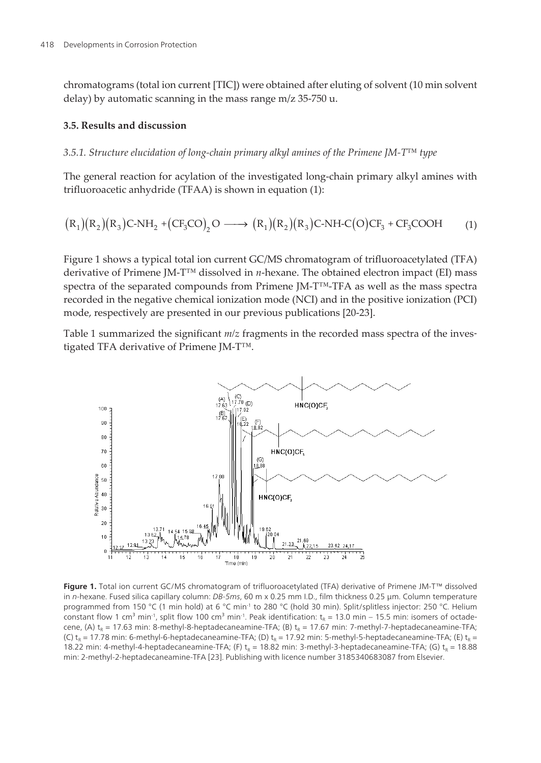chromatograms (total ion current [TIC]) were obtained after eluting of solvent (10 min solvent delay) by automatic scanning in the mass range m/z 35-750 u.

#### **3.5. Results and discussion**

#### *3.5.1. Structure elucidation of long-chain primary alkyl amines of the Primene JM-T™ type*

The general reaction for acylation of the investigated long-chain primary alkyl amines with trifluoroacetic anhydride (TFAA) is shown in equation (1):

$$
(R_1)(R_2)(R_3)C-NH_2+(CF_3CO)_2O \longrightarrow (R_1)(R_2)(R_3)C-NH-C(O)CF_3+CF_3COOH \tag{1}
$$

Figure 1 shows a typical total ion current GC/MS chromatogram of trifluoroacetylated (TFA) derivative of Primene JM-T™ dissolved in *n*-hexane. The obtained electron impact (EI) mass spectra of the separated compounds from Primene JM-T™-TFA as well as the mass spectra recorded in the negative chemical ionization mode (NCI) and in the positive ionization (PCI) mode, respectively are presented in our previous publications [\[20-23](#page-16-0)].

Table 1 summarized the significant  $m/z$  fragments in the recorded mass spectra of the investigated TFA derivative of Primene JM-T™.



**Figure 1.** Total ion current GC/MS chromatogram of trifluoroacetylated (TFA) derivative of Primene JM-T™ dissolved in n-hexane. Fused silica capillary column: DB-5ms, 60 m x 0.25 mm I.D., film thickness 0.25 µm. Column temperature programmed from 150 °C (1 min hold) at 6 °C min-1 to 280 °C (hold 30 min). Split/splitless injector: 250 °C. Helium constant flow 1 cm<sup>3</sup> min<sup>-1</sup>, split flow 100 cm<sup>3</sup> min<sup>-1</sup>. Peak identification: t<sub>R</sub> = 13.0 min – 15.5 min: isomers of octadecene, (A)  ${\rm t_R}$  = 17.63 min: 8-methyl-8-heptadecaneamine-TFA; (B)  ${\rm t_R}$  = 17.67 min: 7-methyl-7-heptadecaneamine-TFA; (C)  ${\sf t}_{\sf R}$  = 17.78 min: 6-methyl-6-heptadecaneamine-TFA; (D)  ${\sf t}_{\sf R}$  = 17.92 min: 5-methyl-5-heptadecaneamine-TFA; (E)  ${\sf t}_{\sf R}$  = 18.22 min: 4-methyl-4-heptadecaneamine-TFA; (F)  $t_R$  = 18.82 min: 3-methyl-3-heptadecaneamine-TFA; (G)  $t_R$  = 18.88 min: 2-methyl-2-heptadecaneamine-TFA [[23\]](#page-16-0). Publishing with licence number 3185340683087 from Elsevier.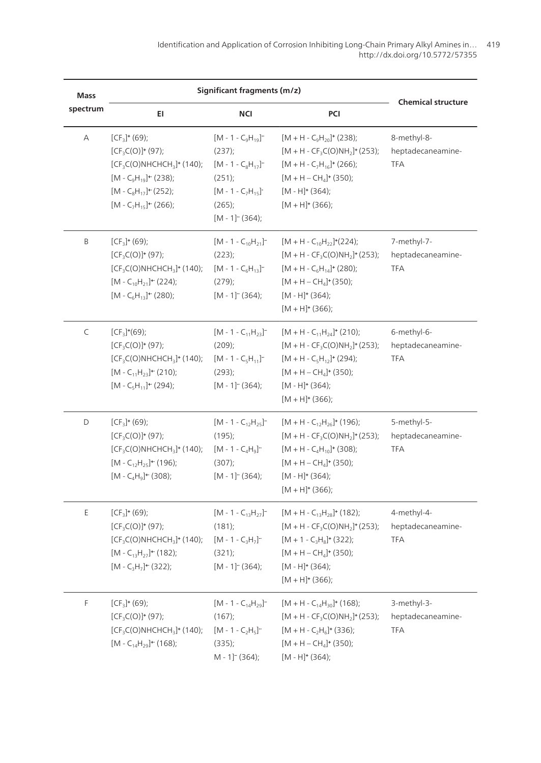| Mass     | Significant fragments (m/z)                                                                                                                                                  |                                                                                                                                                  |                                                                                                                                                                                                                                      |                                                |
|----------|------------------------------------------------------------------------------------------------------------------------------------------------------------------------------|--------------------------------------------------------------------------------------------------------------------------------------------------|--------------------------------------------------------------------------------------------------------------------------------------------------------------------------------------------------------------------------------------|------------------------------------------------|
| spectrum | EI                                                                                                                                                                           | NCI                                                                                                                                              | PCI                                                                                                                                                                                                                                  | <b>Chemical structure</b>                      |
| А        | $[CF3] + (69);$<br>$[CF3C(O)]+ (97);$<br>$[CF3C(O)NHCHCH3]$ <sup>+</sup> (140);<br>$[M - C9H19] + (238);$<br>$[M - C_8H_{17}] + (252);$<br>$[M - C7H15]$ <sup>+</sup> (266); | $[M - 1 - C9H19]$ <sup>--</sup><br>(237);<br>$[M - 1 - C_8H_{17}]$<br>(251);<br>$[M - 1 - C_7H_{15}]$<br>(265);<br>$[M - 1]$ <sup>-</sup> (364); | $[M + H - C_9H_{20}] + (238);$<br>$[M + H - CF_3C(O)NH_2]$ <sup>+</sup> (253);<br>$[M + H - C7H16]$ <sup>+</sup> (266);<br>$[M + H - CH4]$ <sup>+</sup> (350);<br>$[M - H]$ <sup>+</sup> (364);<br>$[M + H]$ <sup>+</sup> (366);     | 8-methyl-8-<br>heptadecaneamine-<br><b>TFA</b> |
| B        | $[CF_3]$ + (69);<br>$[CF3C(O)]+(97);$<br>$[CF3C(O)NHCHCH3]$ <sup>+</sup> (140);<br>$[M - C_{10}H_{21}] + (224);$<br>$[M - C_6H_{13}] + (280);$                               | $[M - 1 - C_{10}H_{21}]^{-1}$<br>(223);<br>$[M - 1 - C_6H_{13}]^{-1}$<br>$(279)$ ;<br>$[M - 1]$ <sup>-</sup> (364);                              | $[M + H - C_{10}H_{22}]^{*}(224);$<br>$[M + H - CF_3C(O)NH_2]$ <sup>+</sup> (253);<br>$[M + H - C_6H_{14}]$ <sup>+</sup> (280);<br>$[M + H - CH4]$ + (350);<br>$[M - H]$ <sup>+</sup> (364);<br>$[M + H]$ <sup>+</sup> (366);        | 7-methyl-7-<br>heptadecaneamine-<br><b>TFA</b> |
| C        | $[CF_3]^{*}(69);$<br>$[CF3C(O)]+(97);$<br>$[CF3C(O)NHCHCH3]$ <sup>+</sup> (140);<br>$[M - C_{11}H_{23}] + (210);$<br>$[M - C_5H_{11}] + (294);$                              | $[M - 1 - C_{11}H_{23}]^{-1}$<br>$(209)$ ;<br>$[M - 1 - C_5H_{11}]$<br>(293);<br>$[M - 1]$ <sup>-</sup> (364);                                   | $[M + H - C_{11}H_{24}]$ + (210);<br>$[M + H - CF_3C(O)NH_2]$ <sup>+</sup> (253);<br>$[M + H - C_5H_{12}]$ <sup>+</sup> (294);<br>$[M + H - CH4]$ <sup>+</sup> (350);<br>[M - H] + (364);<br>$[M + H]$ <sup>+</sup> (366);           | 6-methyl-6-<br>heptadecaneamine-<br><b>TFA</b> |
| D        | $[CF_3]$ + (69);<br>$[CF3C(O)]+(97);$<br>$[CF3C(O)NHCHCH3]$ <sup>+</sup> (140);<br>$[M - C_{12}H_{25}]^{+}$ (196);<br>$[M - C_4H_9]$ <sup>+</sup> (308);                     | $[M - 1 - C_{12}H_{25}]^{-1}$<br>$(195)$ ;<br>$[M - 1 - C_4H_9]$<br>(307);<br>$[M - 1]$ <sup>-</sup> (364);                                      | $[M + H - C_{12}H_{26}]$ <sup>+</sup> (196);<br>$[M + H - CF_3C(O)NH_2]$ <sup>+</sup> (253);<br>$[M + H - C4H10]$ <sup>+</sup> (308);<br>$[M + H - CH4]$ <sup>+</sup> (350);<br>$[M - H]$ + (364);<br>$[M + H]$ <sup>+</sup> (366);  | 5-methyl-5-<br>heptadecaneamine-<br><b>TFA</b> |
| E        | $[CF3]$ <sup>+</sup> (69);<br>$[CF3C(O)]+ (97);$<br>$[CF3C(O)NHCHCH3]$ <sup>+</sup> (140);<br>$[M - C_{13}H_{27}] + (182);$<br>$[M - C_3H_7]$ <sup>+</sup> (322);            | $[M - 1 - C_{13}H_{27}]^{-1}$<br>$(181)$ ;<br>$[M - 1 - C_3H_7]$<br>(321);<br>$[M - 1]$ <sup>-</sup> (364);                                      | $[M + H - C_{13}H_{28}]$ <sup>+</sup> (182);<br>$[M + H - CF_3C(O)NH_2]$ <sup>+</sup> (253);<br>$[M + 1 - C_3H_8]^+$ (322);<br>$[M + H - CH4]$ <sup>+</sup> (350);<br>$[M - H]$ <sup>+</sup> (364);<br>$[M + H]$ <sup>+</sup> (366); | 4-methyl-4-<br>heptadecaneamine-<br><b>TFA</b> |
| F        | $[CF3]$ <sup>+</sup> (69);<br>$[CF3C(O)]+ (97);$<br>$[CF3C(O)NHCHCH3]$ <sup>+</sup> (140);<br>$[M - C_{14}H_{29}] + (168);$                                                  | $[M - 1 - C_{14}H_{29}]^{-1}$<br>(167);<br>$[M - 1 - C_2H_5]$<br>(335);<br>M-1] <sup>-</sup> (364);                                              | $[M + H - C_{14}H_{30}]$ <sup>+</sup> (168);<br>$[M + H - CF_3C(O)NH_2]^+(253);$<br>$[M + H - C2H6]$ <sup>+</sup> (336);<br>$[M + H - CH4]$ <sup>+</sup> (350);<br>$[M - H]^+ (364);$                                                | 3-methyl-3-<br>heptadecaneamine-<br><b>TFA</b> |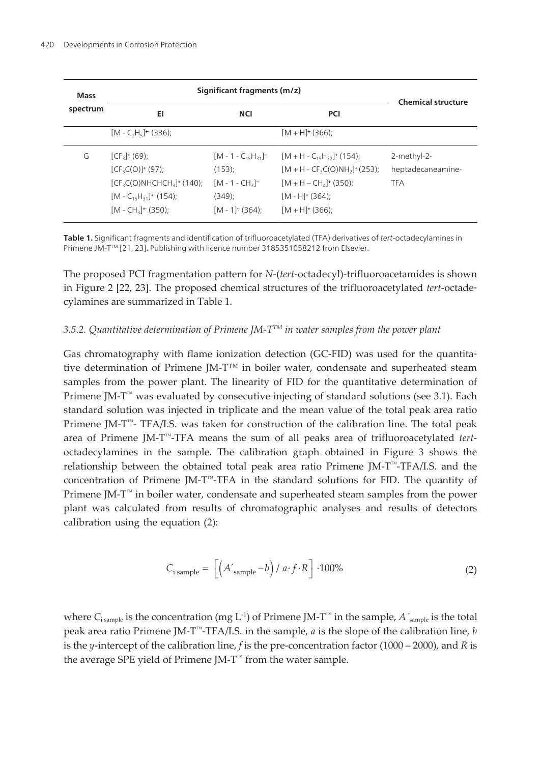| Mass<br>spectrum | Significant fragments (m/z)                                                                                                                                     |                                                                                                 |                                                                                                                                                                                         | <b>Chemical structure</b>                      |
|------------------|-----------------------------------------------------------------------------------------------------------------------------------------------------------------|-------------------------------------------------------------------------------------------------|-----------------------------------------------------------------------------------------------------------------------------------------------------------------------------------------|------------------------------------------------|
|                  | EI                                                                                                                                                              | <b>NCI</b>                                                                                      | <b>PCI</b>                                                                                                                                                                              |                                                |
|                  | $[M - C_2H_5]$ <sup>+</sup> (336);                                                                                                                              |                                                                                                 | $[M + H]$ <sup>+</sup> (366);                                                                                                                                                           |                                                |
| G                | $[CF3]$ <sup>+</sup> (69);<br>$[CF3C(O)]+ (97);$<br>$[CF3C(O)NHCHCH3]$ <sup>+</sup> (140);<br>$[M - C_{15}H_{31}] + (154);$<br>$[M - CH_3]$ <sup>+</sup> (350); | $[M - 1 - C_{15}H_{31}]^{-1}$<br>$(153)$ ;<br>$[M - 1 - CH_2]$<br>$(349)$ :<br>$[M - 1]$ (364): | $[M + H - C_{15}H_{32}]$ <sup>+</sup> (154);<br>$[M + H - CF3C(O)NH3]+ (253);$<br>$[M + H - CH4]$ <sup>+</sup> (350);<br>$[M - H]$ <sup>+</sup> (364):<br>$[M + H]$ <sup>+</sup> (366): | 2-methyl-2-<br>heptadecaneamine-<br><b>TFA</b> |

**Table 1.** Significant fragments and identification of trifluoroacetylated (TFA) derivatives of tert-octadecylamines in Primene JM-T™ [[21, 23](#page-16-0)]. Publishing with licence number 3185351058212 from Elsevier.

The proposed PCI fragmentation pattern for *N*-(*tert*-octadecyl)-trifluoroacetamides is shown in [Figure 2](#page-8-0) [[22,](#page-16-0) [23\]](#page-16-0). The proposed chemical structures of the trifluoroacetylated *tert*-octade‐ cylamines are summarized in Table 1.

#### *3.5.2. Quantitative determination of Primene JM-TTM in water samples from the power plant*

Gas chromatography with flame ionization detection (GC-FID) was used for the quantitative determination of Primene JM-T™ in boiler water, condensate and superheated steam samples from the power plant. The linearity of FID for the quantitative determination of Primene JM-T<sup>™</sup> was evaluated by consecutive injecting of standard solutions (see 3.1). Each standard solution was injected in triplicate and the mean value of the total peak area ratio Primene JM-T™- TFA/I.S. was taken for construction of the calibration line. The total peak area of Primene JM-T™-TFA means the sum of all peaks area of trifluoroacetylated *tert*octadecylamines in the sample. The calibration graph obtained in [Figure 3](#page-10-0) shows the relationship between the obtained total peak area ratio Primene JM-T™-TFA/I.S. and the concentration of Primene JM-T™-TFA in the standard solutions for FID. The quantity of Primene JM-T™ in boiler water, condensate and superheated steam samples from the power plant was calculated from results of chromatographic analyses and results of detectors calibration using the equation (2):

$$
C_{i \text{ sample}} = \left[ \left( A'_{\text{sample}} - b \right) / a \cdot f \cdot R \right] \cdot 100\% \tag{2}
$$

where  $C_{\text{isample}}$  is the concentration (mg L<sup>-1</sup>) of Primene JM-T<sup>™</sup> in the sample, *A*<sup> $\zeta$ </sup><sub>sample</sub> is the total peak area ratio Primene JM-T™-TFA/I.S. in the sample, *a* is the slope of the calibration line, *b* is the *y*-intercept of the calibration line, *f* is the pre-concentration factor (1000 – 2000), and *R* is the average SPE yield of Primene JM-T™ from the water sample.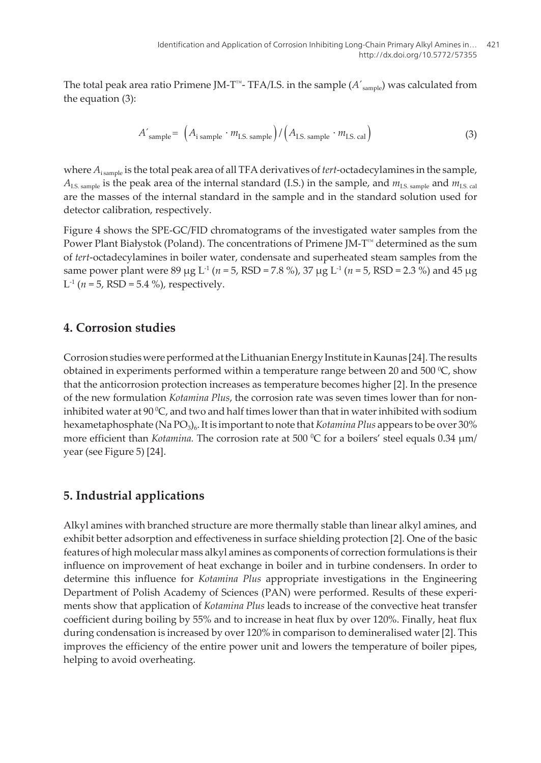<span id="page-8-0"></span>The total peak area ratio Primene JM-T<sup>™</sup>- TFA/I.S. in the sample  $(A'_{sample})$  was calculated from the equation (3):

$$
A'_{\text{sample}} = (A_{\text{sample}} \cdot m_{\text{I.S. sample}}) / (A_{\text{I.S. sample}} \cdot m_{\text{I.S. cal}})
$$
(3)

where  $A_{\text{isample}}$  is the total peak area of all TFA derivatives of *tert*-octadecylamines in the sample,  $A_{\text{IS-sample}}$  is the peak area of the internal standard (I.S.) in the sample, and  $m_{\text{IS-sample}}$  and  $m_{\text{IS-cell}}$ are the masses of the internal standard in the sample and in the standard solution used for detector calibration, respectively.

[Figure 4](#page-11-0) shows the SPE-GC/FID chromatograms of the investigated water samples from the Power Plant Białystok (Poland). The concentrations of Primene JM- $T^M$  determined as the sum of *tert*-octadecylamines in boiler water, condensate and superheated steam samples from the same power plant were 89  $\mu$ g L<sup>-1</sup> (*n* = 5, RSD = 7.8 %), 37  $\mu$ g L<sup>-1</sup> (*n* = 5, RSD = 2.3 %) and 45  $\mu$ g  $L^{-1}$  ( $n = 5$ , RSD = 5.4 %), respectively.

### **4. Corrosion studies**

Corrosion studies were performed at the Lithuanian Energy Institute in Kaunas [[24\]](#page-16-0). The results obtained in experiments performed within a temperature range between 20 and 500  $^{\circ}C$ , show that the anticorrosion protection increases as temperature becomes higher [[2](#page-14-0)]. In the presence of the new formulation *Kotamina Plus*, the corrosion rate was seven times lower than for noninhibited water at  $90\text{ °C}$ , and two and half times lower than that in water inhibited with sodium hexametaphosphate (Na PO<sup>3</sup> )6 .Itis importantto note that*Kotamina Plus* appears to be over 30% more efficient than *Kotamina*. The corrosion rate at 500 °C for a boilers' steel equals 0.34  $\mu$ m/ year (see [Figure 5\)](#page-12-0) [[24\]](#page-16-0).

### **5. Industrial applications**

Alkyl amines with branched structure are more thermally stable than linear alkyl amines, and exhibit better adsorption and effectiveness in surface shielding protection [[2](#page-14-0)]. One of the basic features of high molecular mass alkyl amines as components of correction formulations is their influence on improvement of heat exchange in boiler and in turbine condensers. In order to determine this influence for *Kotamina Plus* appropriate investigations in the Engineering Department of Polish Academy of Sciences (PAN) were performed. Results of these experi‐ ments show that application of *Kotamina Plus* leads to increase of the convective heat transfer coefficient during boiling by 55% and to increase in heat flux by over 120%. Finally, heat flux during condensation is increased by over 120% in comparison to demineralised water [[2](#page-14-0)]. This improves the efficiency of the entire power unit and lowers the temperature of boiler pipes, helping to avoid overheating.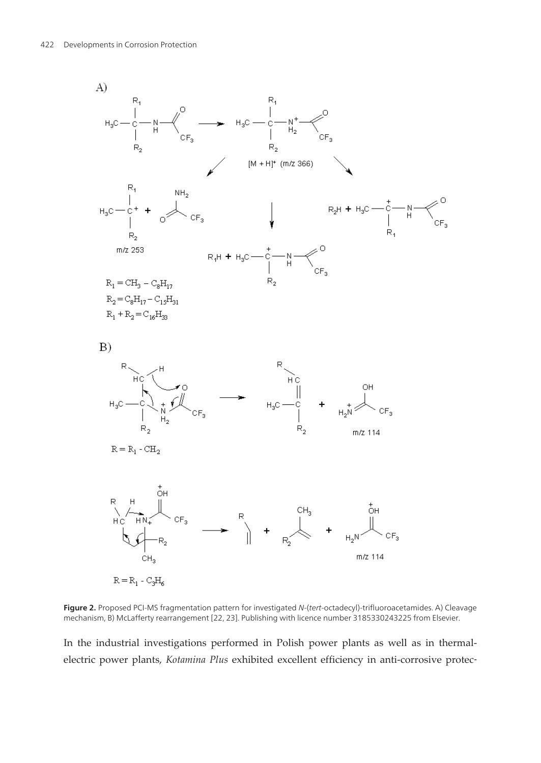

 $R = R_1 - C_2H_6$ 

Figure 2. Proposed PCI-MS fragmentation pattern for investigated N-(tert-octadecyl)-trifluoroacetamides. A) Cleavage mechanism, B) McLafferty rearrangement [\[22](#page-16-0), [23\]](#page-16-0). Publishing with licence number 3185330243225 from Elsevier.

In the industrial investigations performed in Polish power plants as well as in thermalelectric power plants, *Kotamina Plus* exhibited excellent efficiency in anti-corrosive protec‐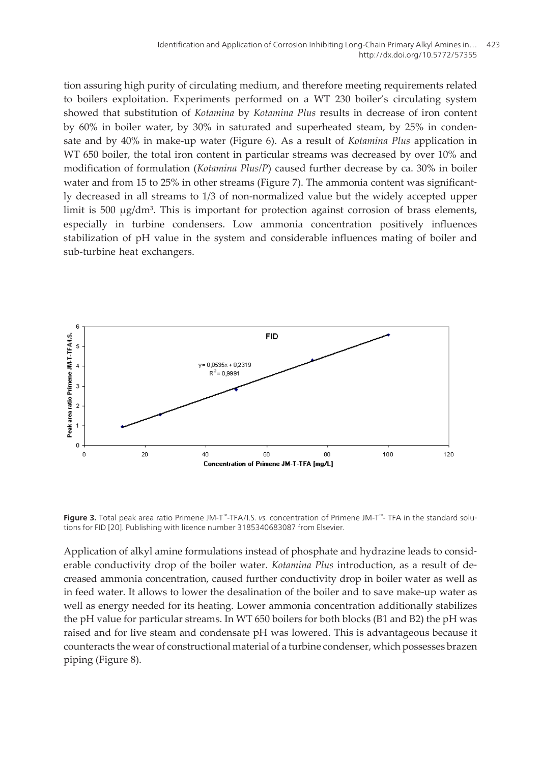<span id="page-10-0"></span>tion assuring high purity of circulating medium, and therefore meeting requirements related to boilers exploitation. Experiments performed on a WT 230 boiler's circulating system showed that substitution of *Kotamina* by *Kotamina Plus* results in decrease of iron content by 60% in boiler water, by 30% in saturated and superheated steam, by 25% in conden‐ sate and by 40% in make-up water ([Figure 6\).](#page-12-0) As a result of *Kotamina Plus* application in WT 650 boiler, the total iron content in particular streams was decreased by over 10% and modification of formulation (*Kotamina Plus/P*) caused further decrease by ca. 30% in boiler water and from 15 to 25% in other streams [\(Figure](#page-13-0) 7). The ammonia content was significantly decreased in all streams to 1/3 of non-normalized value but the widely accepted upper limit is 500 µg/dm<sup>3</sup>. This is important for protection against corrosion of brass elements, especially in turbine condensers. Low ammonia concentration positively influences stabilization of pH value in the system and considerable influences mating of boiler and sub-turbine heat exchangers.



**Figure 3.** Total peak area ratio Primene JM-T™-TFA/I.S. vs. concentration of Primene JM-T™- TFA in the standard solutions for FID [\[20](#page-16-0)]. Publishing with licence number 3185340683087 from Elsevier.

Application of alkyl amine formulations instead of phosphate and hydrazine leads to consid‐ erable conductivity drop of the boiler water. *Kotamina Plus* introduction, as a result of de‐ creased ammonia concentration, caused further conductivity drop in boiler water as well as in feed water. It allows to lower the desalination of the boiler and to save make-up water as well as energy needed for its heating. Lower ammonia concentration additionally stabilizes the pH value for particular streams. In WT 650 boilers for both blocks (B1 and B2) the pH was raised and for live steam and condensate pH was lowered. This is advantageous because it counteracts the wear of constructional material of a turbine condenser, which possesses brazen piping [\(Figure 8\).](#page-13-0)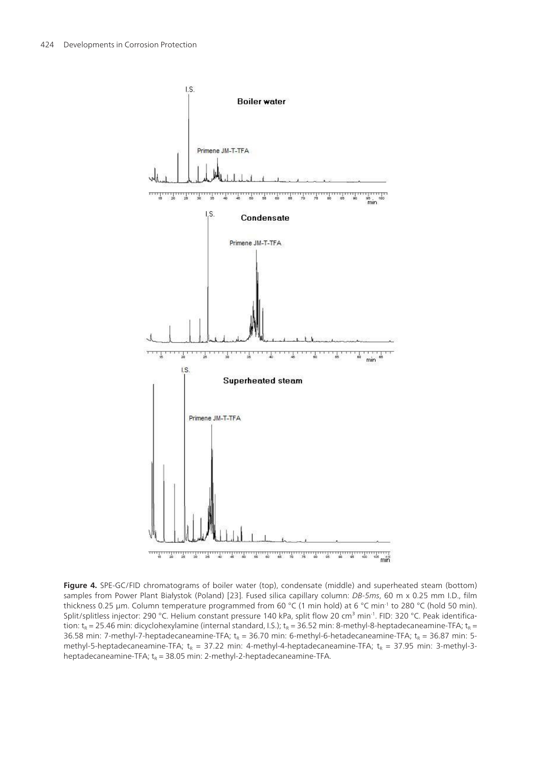<span id="page-11-0"></span>

**Figure 4.** SPE-GC/FID chromatograms of boiler water (top), condensate (middle) and superheated steam (bottom) samples from Power Plant Białystok (Poland) [[23\]](#page-16-0). Fused silica capillary column: DB-5ms, 60 m x 0.25 mm I.D., film thickness 0.25 µm. Column temperature programmed from 60 °C (1 min hold) at 6 °C min<sup>-1</sup> to 280 °C (hold 50 min). Split/splitless injector: 290 °C. Helium constant pressure 140 kPa, split flow 20 cm<sup>3</sup> min<sup>-1</sup>. FID: 320 °C. Peak identification: t<sub>R</sub> = 25.46 min: dicyclohexylamine (internal standard, I.S.); t<sub>R</sub> = 36.52 min: 8-methyl-8-heptadecaneamine-TFA; t<sub>R</sub> = 36.58 min: 7-methyl-7-heptadecaneamine-TFA;  $\rm t_R$  = 36.70 min: 6-methyl-6-hetadecaneamine-TFA;  $\rm t_R$  = 36.87 min: 5methyl-5-heptadecaneamine-TFA;  ${\sf t}_{\sf R}$  = 37.22 min: 4-methyl-4-heptadecaneamine-TFA;  ${\sf t}_{\sf R}$  = 37.95 min: 3-methyl-3heptadecaneamine-TFA;  $t_{\rm R}$  = 38.05 min: 2-methyl-2-heptadecaneamine-TFA.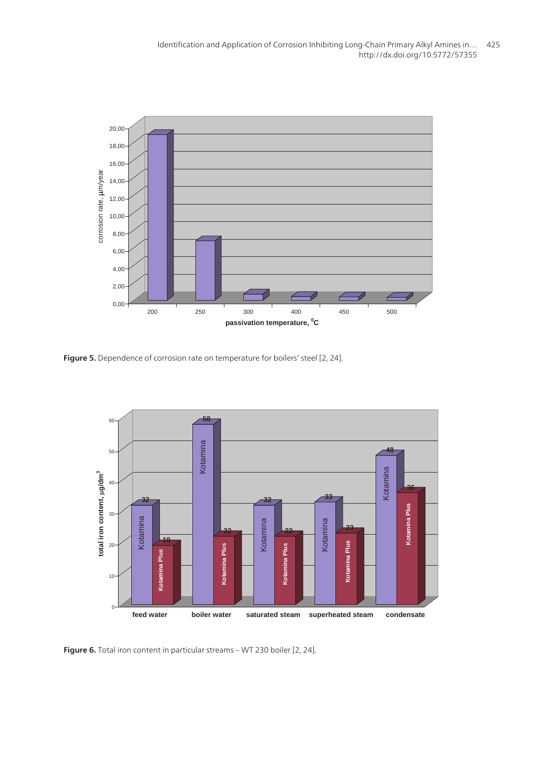<span id="page-12-0"></span>

**Figure 5.** Dependence of corrosion rate on temperature for boilers' steel [[2,](#page-14-0) [24\]](#page-16-0).



**Figure 6.** Total iron content in particular streams – WT 230 boiler [[2,](#page-14-0) [24](#page-16-0)].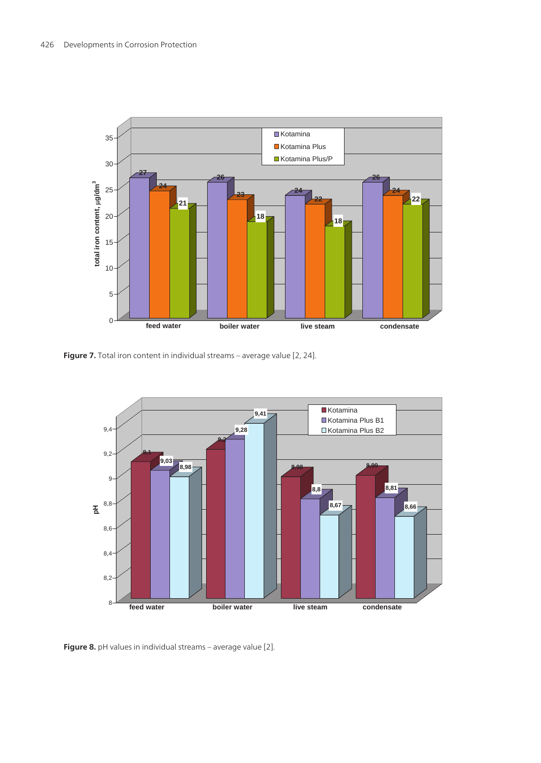<span id="page-13-0"></span>

**Figure 7.** Total iron content in individual streams – average value [[2,](#page-14-0) [24](#page-16-0)].



**Figure 8.** pH values in individual streams – average value [\[2](#page-14-0)].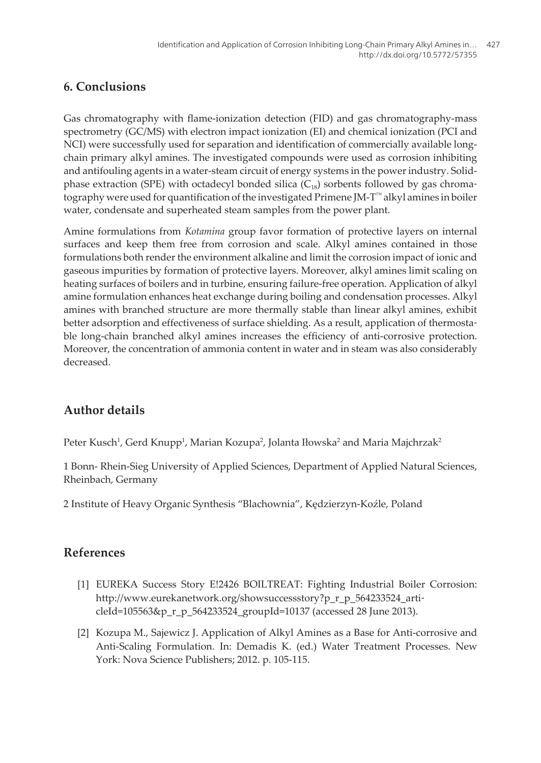## <span id="page-14-0"></span>**6. Conclusions**

Gas chromatography with flame-ionization detection (FID) and gas chromatography-mass spectrometry (GC/MS) with electron impact ionization (EI) and chemical ionization (PCI and NCI) were successfully used for separation and identification of commercially available longchain primary alkyl amines. The investigated compounds were used as corrosion inhibiting and antifouling agents in a water-steam circuit of energy systems in the power industry. Solidphase extraction (SPE) with octadecyl bonded silica ( $C_{18}$ ) sorbents followed by gas chromatography were used for quantification of the investigated Primene JM-T™ alkyl amines in boiler water, condensate and superheated steam samples from the power plant.

Amine formulations from *Kotamina* group favor formation of protective layers on internal surfaces and keep them free from corrosion and scale. Alkyl amines contained in those formulations both render the environment alkaline and limit the corrosion impact of ionic and gaseous impurities by formation of protective layers. Moreover, alkyl amines limit scaling on heating surfaces of boilers and in turbine, ensuring failure-free operation. Application of alkyl amine formulation enhances heat exchange during boiling and condensation processes. Alkyl amines with branched structure are more thermally stable than linear alkyl amines, exhibit better adsorption and effectiveness of surface shielding. As a result, application of thermostable long-chain branched alkyl amines increases the efficiency of anti-corrosive protection. Moreover, the concentration of ammonia content in water and in steam was also considerably decreased.

# **Author details**

Peter Kusch<sup>1</sup>, Gerd Knupp<sup>1</sup>, Marian Kozupa<sup>2</sup>, Jolanta Iłowska<sup>2</sup> and Maria Majchrzak<sup>2</sup>

1 Bonn- Rhein-Sieg University of Applied Sciences, Department of Applied Natural Sciences, Rheinbach, Germany

2 Institute of Heavy Organic Synthesis "Blachownia", Kędzierzyn-Koźle, Poland

### **References**

- [1] EUREKA Success Story E!2426 BOILTREAT: Fighting Industrial Boiler Corrosion: http://www.eurekanetwork.org/showsuccessstory?p\_r\_p\_564233524\_arti‐ cleId=105563&p\_r\_p\_564233524\_groupId=10137 (accessed 28 June 2013).
- [2] Kozupa M., Sajewicz J. Application of Alkyl Amines as a Base for Anti-corrosive and Anti-Scaling Formulation. In: Demadis K. (ed.) Water Treatment Processes. New York: Nova Science Publishers; 2012. p. 105-115.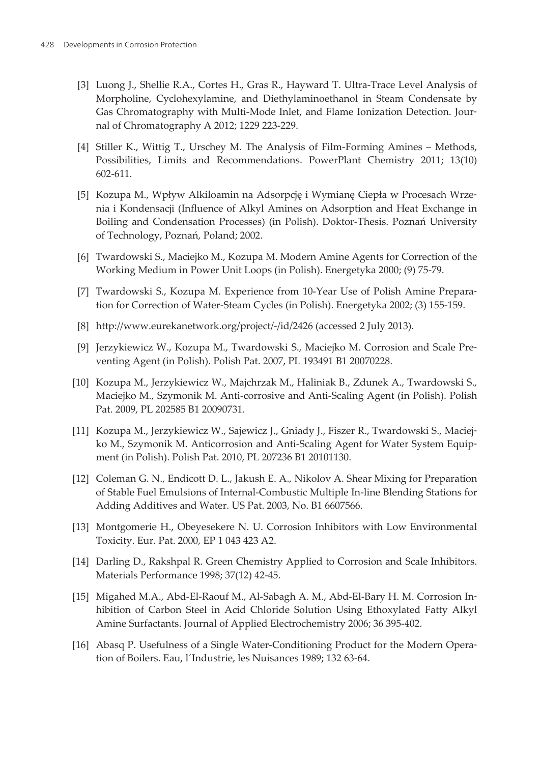- <span id="page-15-0"></span>[3] Luong J., Shellie R.A., Cortes H., Gras R., Hayward T. Ultra-Trace Level Analysis of Morpholine, Cyclohexylamine, and Diethylaminoethanol in Steam Condensate by Gas Chromatography with Multi-Mode Inlet, and Flame Ionization Detection. Journal of Chromatography A 2012; 1229 223-229.
- [4] Stiller K., Wittig T., Urschey M. The Analysis of Film-Forming Amines Methods, Possibilities, Limits and Recommendations. PowerPlant Chemistry 2011; 13(10) 602-611.
- [5] Kozupa M., Wpływ Alkiloamin na Adsorpcję i Wymianę Ciepła w Procesach Wrze‐ nia i Kondensacji (Influence of Alkyl Amines on Adsorption and Heat Exchange in Boiling and Condensation Processes) (in Polish). Doktor-Thesis. Poznań University of Technology, Poznań, Poland; 2002.
- [6] Twardowski S., Maciejko M., Kozupa M. Modern Amine Agents for Correction of the Working Medium in Power Unit Loops (in Polish). Energetyka 2000; (9) 75-79.
- [7] Twardowski S., Kozupa M. Experience from 10-Year Use of Polish Amine Prepara‐ tion for Correction of Water-Steam Cycles (in Polish). Energetyka 2002; (3) 155-159.
- [8] http://www.eurekanetwork.org/project/-/id/2426 (accessed 2 July 2013).
- [9] Jerzykiewicz W., Kozupa M., Twardowski S., Maciejko M. Corrosion and Scale Pre‐ venting Agent (in Polish). Polish Pat. 2007, PL 193491 B1 20070228.
- [10] Kozupa M., Jerzykiewicz W., Majchrzak M., Haliniak B., Zdunek A., Twardowski S., Maciejko M., Szymonik M. Anti-corrosive and Anti-Scaling Agent (in Polish). Polish Pat. 2009, PL 202585 B1 20090731.
- [11] Kozupa M., Jerzykiewicz W., Sajewicz J., Gniady J., Fiszer R., Twardowski S., Maciej‐ ko M., Szymonik M. Anticorrosion and Anti-Scaling Agent for Water System Equipment (in Polish). Polish Pat. 2010, PL 207236 B1 20101130.
- [12] Coleman G. N., Endicott D. L., Jakush E. A., Nikolov A. Shear Mixing for Preparation of Stable Fuel Emulsions of Internal-Combustic Multiple In-line Blending Stations for Adding Additives and Water. US Pat. 2003, No. B1 6607566.
- [13] Montgomerie H., Obeyesekere N. U. Corrosion Inhibitors with Low Environmental Toxicity. Eur. Pat. 2000, EP 1 043 423 A2.
- [14] Darling D., Rakshpal R. Green Chemistry Applied to Corrosion and Scale Inhibitors. Materials Performance 1998; 37(12) 42-45.
- [15] Migahed M.A., Abd-El-Raouf M., Al-Sabagh A. M., Abd-El-Bary H. M. Corrosion In‐ hibition of Carbon Steel in Acid Chloride Solution Using Ethoxylated Fatty Alkyl Amine Surfactants. Journal of Applied Electrochemistry 2006; 36 395-402.
- [16] Abasq P. Usefulness of a Single Water-Conditioning Product for the Modern Opera‐ tion of Boilers. Eau, l´Industrie, les Nuisances 1989; 132 63-64.